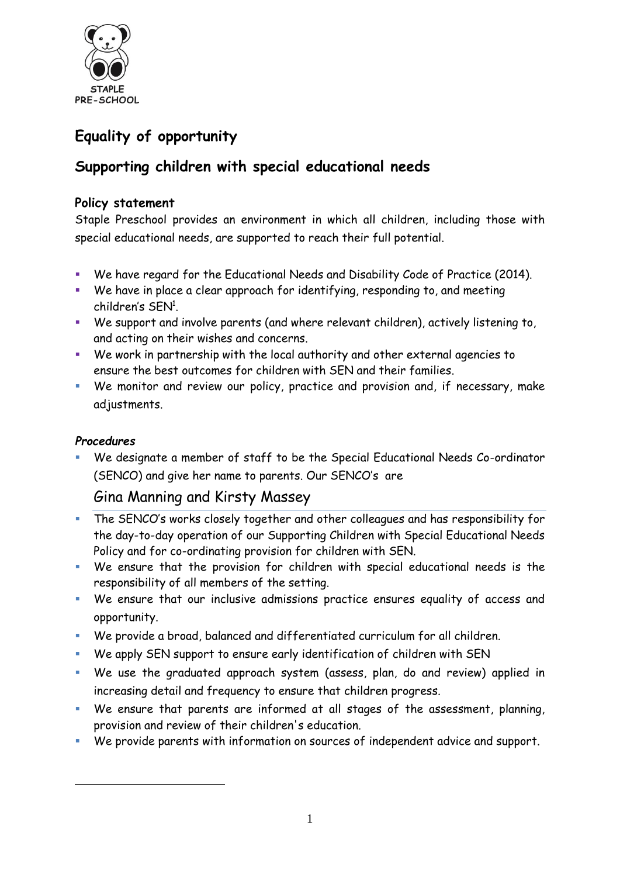

# **Equality of opportunity**

## **Supporting children with special educational needs**

#### **Policy statement**

Staple Preschool provides an environment in which all children, including those with special educational needs, are supported to reach their full potential.

- We have regard for the Educational Needs and Disability Code of Practice (2014).
- We have in place a clear approach for identifying, responding to, and meeting children's SEN<sup>1</sup>.
- We support and involve parents (and where relevant children), actively listening to, and acting on their wishes and concerns.
- We work in partnership with the local authority and other external agencies to ensure the best outcomes for children with SEN and their families.
- We monitor and review our policy, practice and provision and, if necessary, make adjustments.

#### *Procedures*

1

 We designate a member of staff to be the Special Educational Needs Co-ordinator (SENCO) and give her name to parents. Our SENCO's are

### Gina Manning and Kirsty Massey

- The SENCO's works closely together and other colleagues and has responsibility for the day-to-day operation of our Supporting Children with Special Educational Needs Policy and for co-ordinating provision for children with SEN.
- We ensure that the provision for children with special educational needs is the responsibility of all members of the setting.
- We ensure that our inclusive admissions practice ensures equality of access and opportunity.
- We provide a broad, balanced and differentiated curriculum for all children.
- We apply SEN support to ensure early identification of children with SEN
- We use the graduated approach system (assess, plan, do and review) applied in increasing detail and frequency to ensure that children progress.
- We ensure that parents are informed at all stages of the assessment, planning, provision and review of their children's education.
- We provide parents with information on sources of independent advice and support.